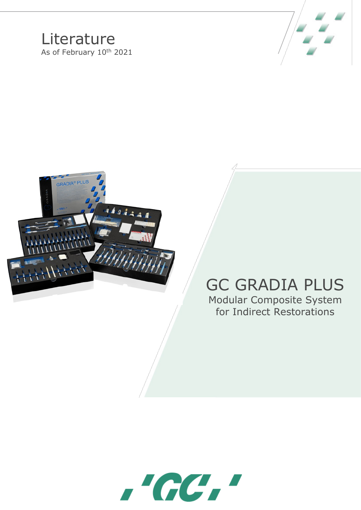## **Literature** As of February 10<sup>th</sup> 2021





## GC GRADIA PLUS

Modular Composite System for Indirect Restorations

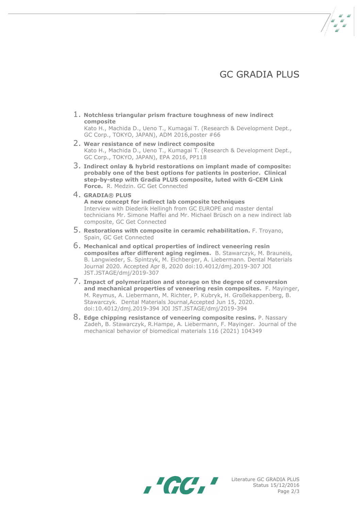## **GC GRADIA PLUS**

1. **Notchless triangular prism fracture toughness of new indirect composite**

Kato H., Machida D., Ueno T., Kumagai T. (Research & Development Dept., GC Corp., TOKYO, JAPAN), ADM 2016,poster #66

- 2. **Wear resistance of new indirect composite** Kato H., Machida D., Ueno T., Kumagai T. (Research & Development Dept., GC Corp., TOKYO, JAPAN), EPA 2016, PP118
- 3. **Indirect onlay & hybrid restorations on implant made of composite: probably one of the best options for patients in posterior. Clinical step-by-step with Gradia PLUS composite, luted with G-CEM Link Force.** R. Medzin. GC Get Connected
- 4. **GRADIA® PLUS**

**A new concept for indirect lab composite techniques** Interview with Diederik Hellingh from GC EUROPE and master dental technicians Mr. Simone Maffei and Mr. Michael Brüsch on a new indirect lab composite, GC Get Connected

- 5. **Restorations with composite in ceramic rehabilitation.** F. Troyano, Spain, GC Get Connected
- 6. **Mechanical and optical properties of indirect veneering resin composites after different aging regimes.** B. Stawarczyk, M. Brauneis, B. Langwieder, S. Spintzyk, M. Eichberger, A. Liebermann. Dental Materials Journal 2020. Accepted Apr 8, 2020 doi:10.4012/dmj.2019-307 JOI JST.JSTAGE/dmj/2019-307
- 7. **Impact of polymerization and storage on the degree of conversion and mechanical properties of veneering resin composites.** F. Mayinger, M. Reymus, A. Liebermann, M. Richter, P. Kubryk, H. Großekappenberg, B. Stawarczyk. Dental Materials Journal,Accepted Jun 15, 2020. doi:10.4012/dmj.2019-394 JOI JST.JSTAGE/dmj/2019-394
- 8. **Edge chipping resistance of veneering composite resins.** P. Nassary Zadeh, B. Stawarczyk, R.Hampe, A. Liebermann, F. Mayinger. Journal of the mechanical behavior of biomedical materials 116 (2021) 104349



Literature GC GRADIA PLUS Status 15/12/2016 Page 2/3